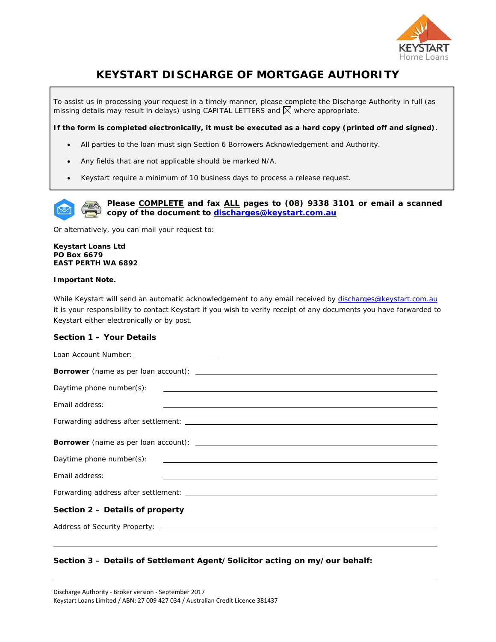

# **KEYSTART DISCHARGE OF MORTGAGE AUTHORITY**

To assist us in processing your request in a timely manner, please complete the Discharge Authority in full (as missing details may result in delays) using CAPITAL LETTERS and  $\boxtimes$  where appropriate.

**If the form is completed electronically, it must be executed as a hard copy (printed off and signed).** 

- All parties to the loan must sign Section 6 Borrowers Acknowledgement and Authority.
- Any fields that are not applicable should be marked N/A.
- Keystart require a minimum of 10 business days to process a release request.



**Please COMPLETE and fax ALL pages to (08) 9338 3101 or email a scanned copy of the document to discharges@keystart.com.au**

Or alternatively, you can mail your request to:

**Keystart Loans Ltd PO Box 6679 EAST PERTH WA 6892** 

## **Important Note.**

l

While Keystart will send an automatic acknowledgement to any email received by discharges@keystart.com.au it is your responsibility to contact Keystart if you wish to verify receipt of any documents you have forwarded to Keystart either electronically or by post.

## **Section 1 – Your Details**

Loan Account Number: \_

| Email address:<br><u>. A series and the series of the series of the series of the series of the series of the series of the series of</u>                                                                                      |
|--------------------------------------------------------------------------------------------------------------------------------------------------------------------------------------------------------------------------------|
| Forwarding address after settlement: North and South American Community of the Second Second Second Second Second Second Second Second Second Second Second Second Second Second Second Second Second Second Second Second Sec |
|                                                                                                                                                                                                                                |
|                                                                                                                                                                                                                                |
|                                                                                                                                                                                                                                |
| Email address:<br><u> 1989 - Johann Stoff, amerikansk politiker (* 1908)</u>                                                                                                                                                   |
|                                                                                                                                                                                                                                |
| Section 2 – Details of property                                                                                                                                                                                                |
|                                                                                                                                                                                                                                |

# **Section 3 – Details of Settlement Agent/Solicitor acting on my/our behalf:**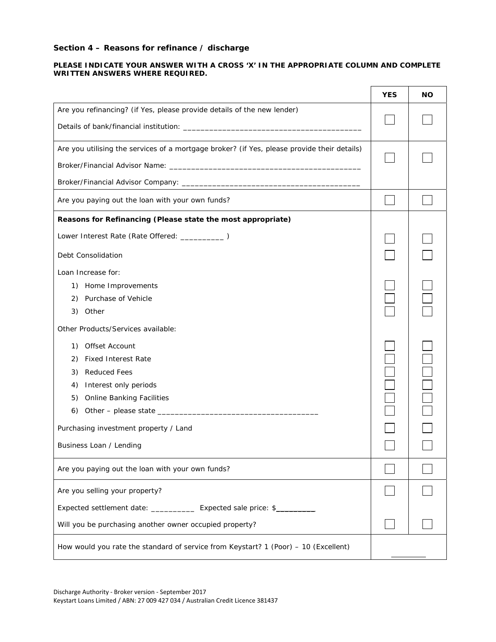# **Section 4 – Reasons for refinance / discharge**

## **PLEASE INDICATE YOUR ANSWER WITH A CROSS 'X' IN THE APPROPRIATE COLUMN AND COMPLETE WRITTEN ANSWERS WHERE REQUIRED.**

|                                                                                             | <b>YES</b> | <b>NO</b> |
|---------------------------------------------------------------------------------------------|------------|-----------|
| Are you refinancing? (if Yes, please provide details of the new lender)                     |            |           |
| Are you utilising the services of a mortgage broker? (if Yes, please provide their details) |            |           |
| Are you paying out the loan with your own funds?                                            |            |           |
| Reasons for Refinancing (Please state the most appropriate)                                 |            |           |
| Lower Interest Rate (Rate Offered: ___________)<br>Debt Consolidation                       |            |           |
| Loan Increase for:                                                                          |            |           |
| 1) Home Improvements                                                                        |            |           |
| 2) Purchase of Vehicle<br>3) Other                                                          |            |           |
| Other Products/Services available:                                                          |            |           |
| Offset Account<br>1)                                                                        |            |           |
| <b>Fixed Interest Rate</b><br>2)                                                            |            |           |
| <b>Reduced Fees</b><br>3)                                                                   |            |           |
| Interest only periods<br>4)                                                                 |            |           |
| <b>Online Banking Facilities</b><br>5)                                                      |            |           |
| 6)                                                                                          |            |           |
| Purchasing investment property / Land                                                       |            |           |
| Business Loan / Lending                                                                     |            |           |
| Are you paying out the loan with your own funds?                                            |            |           |
| Are you selling your property?                                                              |            |           |
| Expected settlement date: ______________ Expected sale price: \$__________                  |            |           |
| Will you be purchasing another owner occupied property?                                     |            |           |
| How would you rate the standard of service from Keystart? 1 (Poor) - 10 (Excellent)         |            |           |